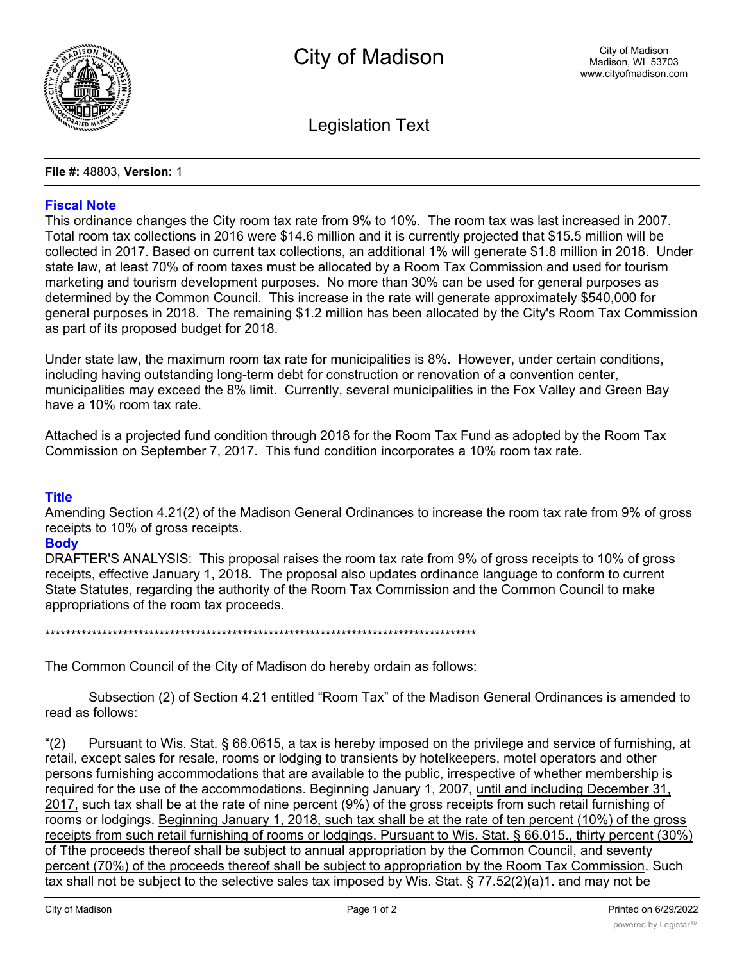

**Legislation Text** 

#### File #: 48803, Version: 1

# **Fiscal Note**

This ordinance changes the City room tax rate from 9% to 10%. The room tax was last increased in 2007. Total room tax collections in 2016 were \$14.6 million and it is currently projected that \$15.5 million will be collected in 2017. Based on current tax collections, an additional 1% will generate \$1.8 million in 2018. Under state law, at least 70% of room taxes must be allocated by a Room Tax Commission and used for tourism marketing and tourism development purposes. No more than 30% can be used for general purposes as determined by the Common Council. This increase in the rate will generate approximately \$540,000 for general purposes in 2018. The remaining \$1.2 million has been allocated by the City's Room Tax Commission as part of its proposed budget for 2018.

Under state law, the maximum room tax rate for municipalities is 8%. However, under certain conditions, including having outstanding long-term debt for construction or renovation of a convention center, municipalities may exceed the 8% limit. Currently, several municipalities in the Fox Valley and Green Bay have a 10% room tax rate.

Attached is a projected fund condition through 2018 for the Room Tax Fund as adopted by the Room Tax Commission on September 7, 2017. This fund condition incorporates a 10% room tax rate.

# **Title**

Amending Section 4.21(2) of the Madison General Ordinances to increase the room tax rate from 9% of gross receipts to 10% of gross receipts.

#### **Body**

DRAFTER'S ANALYSIS: This proposal raises the room tax rate from 9% of gross receipts to 10% of gross receipts, effective January 1, 2018. The proposal also updates ordinance language to conform to current State Statutes, regarding the authority of the Room Tax Commission and the Common Council to make appropriations of the room tax proceeds.

The Common Council of the City of Madison do hereby ordain as follows:

Subsection (2) of Section 4.21 entitled "Room Tax" of the Madison General Ordinances is amended to read as follows:

 $(2)$ Pursuant to Wis. Stat. § 66.0615, a tax is hereby imposed on the privilege and service of furnishing, at retail, except sales for resale, rooms or lodging to transients by hotelkeepers, motel operators and other persons furnishing accommodations that are available to the public, irrespective of whether membership is required for the use of the accommodations. Beginning January 1, 2007, until and including December 31, 2017, such tax shall be at the rate of nine percent (9%) of the gross receipts from such retail furnishing of rooms or lodgings. Beginning January 1, 2018, such tax shall be at the rate of ten percent (10%) of the gross receipts from such retail furnishing of rooms or lodgings. Pursuant to Wis. Stat. § 66.015., thirty percent (30%) of Tthe proceeds thereof shall be subject to annual appropriation by the Common Council, and seventy percent (70%) of the proceeds thereof shall be subject to appropriation by the Room Tax Commission. Such tax shall not be subject to the selective sales tax imposed by Wis. Stat. § 77.52(2)(a)1. and may not be